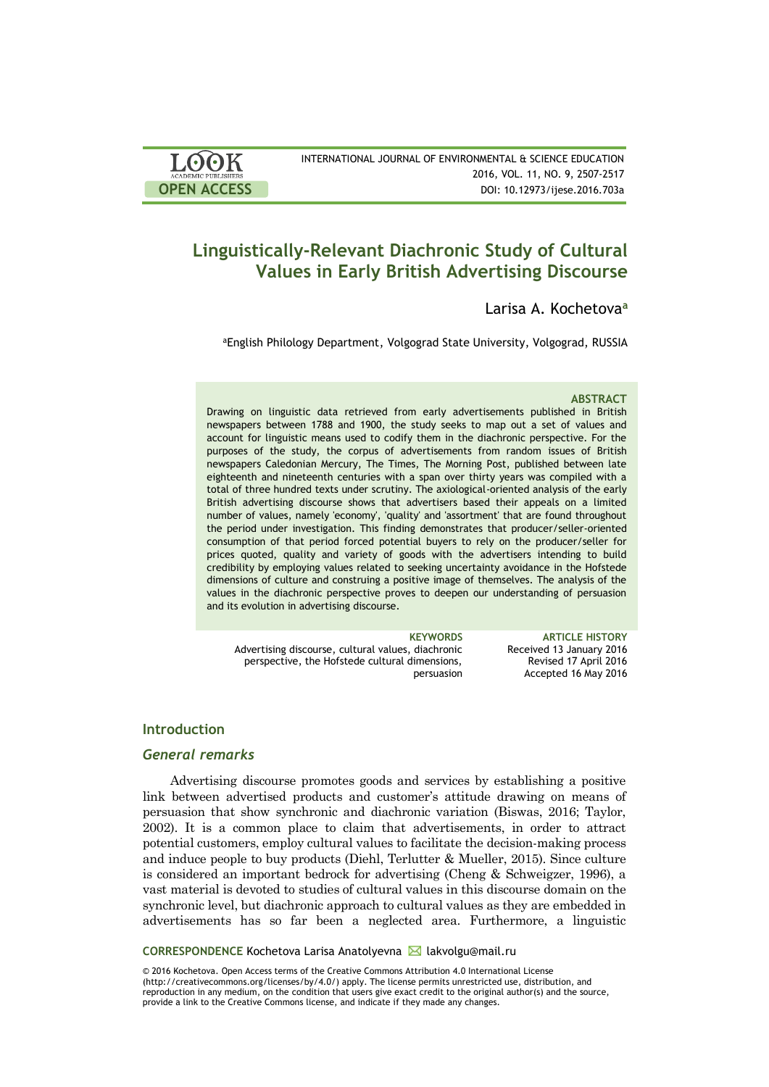| <b>LOOK</b>                | INTERNATIONAL JOURNAL OF ENVIRONMENTAL & SCIENCE EDUCATION |
|----------------------------|------------------------------------------------------------|
| <b>ACADEMIC PUBLISHERS</b> | 2016, VOL. 11, NO. 9, 2507-2517                            |
| <b>OPEN ACCESS</b>         | DOI: 10.12973/ijese.2016.703a                              |
|                            |                                                            |

# **Linguistically-Relevant Diachronic Study of Cultural Values in Early British Advertising Discourse**

Larisa A. Kochetova**<sup>a</sup>**

aEnglish Philology Department, Volgograd State University, Volgograd, RUSSIA

#### **ABSTRACT**

Drawing on linguistic data retrieved from early advertisements published in British newspapers between 1788 and 1900, the study seeks to map out a set of values and account for linguistic means used to codify them in the diachronic perspective. For the purposes of the study, the corpus of advertisements from random issues of British newspapers Сaledonian Mercury, The Times, The Morning Post, published between late eighteenth and nineteenth centuries with a span over thirty years was compiled with a total of three hundred texts under scrutiny. The axiological-oriented analysis of the early British advertising discourse shows that advertisers based their appeals on a limited number of values, namely 'economy', 'quality' and 'assortment' that are found throughout the period under investigation. This finding demonstrates that producer/seller-oriented consumption of that period forced potential buyers to rely on the producer/seller for prices quoted, quality and variety of goods with the advertisers intending to build credibility by employing values related to seeking uncertainty avoidance in the Hofstede dimensions of culture and construing a positive image of themselves. The analysis of the values in the diachronic perspective proves to deepen our understanding of persuasion and its evolution in advertising discourse.

Advertising discourse, cultural values, diachronic perspective, the Hofstede cultural dimensions, persuasion

**KEYWORDS ARTICLE HISTORY** Received 13 January 2016 Revised 17 April 2016 Accepted 16 May 2016

# **Introduction**

# *General remarks*

Advertising discourse promotes goods and services by establishing a positive link between advertised products and customer's attitude drawing on means of persuasion that show synchronic and diachronic variation (Biswas, 2016; Taylor, 2002). It is a common place to claim that advertisements, in order to attract potential customers, employ cultural values to facilitate the decision-making process and induce people to buy products (Diehl, Terlutter & Mueller, 2015). Since culture is considered an important bedrock for advertising (Cheng & Schweigzer, 1996), a vast material is devoted to studies of cultural values in this discourse domain on the synchronic level, but diachronic approach to cultural values as they are embedded in advertisements has so far been a neglected area. Furthermore, a linguistic

### **CORRESPONDENCE** Kochetova Larisa Anatolyevna **M** lakvolgu@mail.ru

© 2016 Kochetova. Open Access terms of the Creative Commons Attribution 4.0 International License (http://creativecommons.org/licenses/by/4.0/) apply. The license permits unrestricted use, distribution, and reproduction in any medium, on the condition that users give exact credit to the original author(s) and the source, provide a link to the Creative Commons license, and indicate if they made any changes.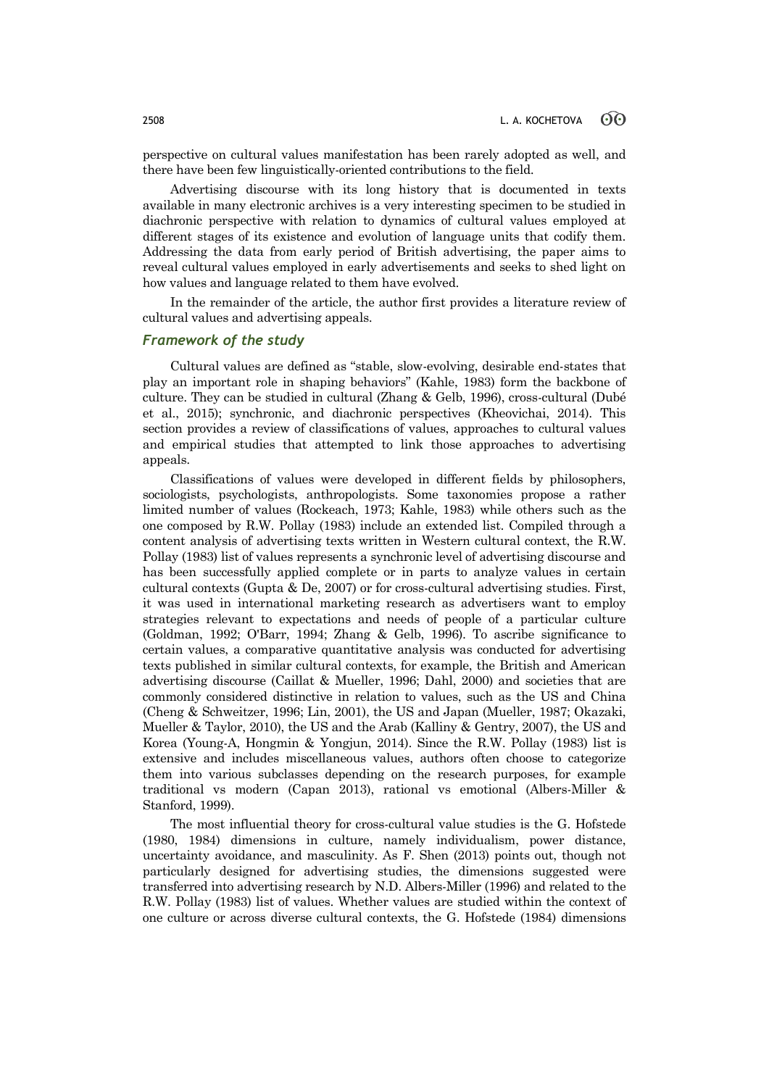perspective on cultural values manifestation has been rarely adopted as well, and there have been few linguistically-oriented contributions to the field.

Advertising discourse with its long history that is documented in texts available in many electronic archives is a very interesting specimen to be studied in diachronic perspective with relation to dynamics of cultural values employed at different stages of its existence and evolution of language units that codify them. Addressing the data from early period of British advertising, the paper aims to reveal cultural values employed in early advertisements and seeks to shed light on how values and language related to them have evolved.

In the remainder of the article, the author first provides a literature review of cultural values and advertising appeals.

# *Framework of the study*

Cultural values are defined as "stable, slow-evolving, desirable end-states that play an important role in shaping behaviors" (Kahle, 1983) form the backbone of culture. They can be studied in cultural (Zhang & Gelb, 1996), cross-cultural (Dubé et al., 2015); synchronic, and diachronic perspectives (Kheovichai, 2014). This section provides a review of classifications of values, approaches to cultural values and empirical studies that attempted to link those approaches to advertising appeals.

Classifications of values were developed in different fields by philosophers, sociologists, psychologists, anthropologists. Some taxonomies propose a rather limited number of values (Rockeach, 1973; Kahle, 1983) while others such as the one composed by R.W. Pollay (1983) include an extended list. Compiled through a content analysis of advertising texts written in Western cultural context, the R.W. Pollay (1983) list of values represents a synchronic level of advertising discourse and has been successfully applied complete or in parts to analyze values in certain cultural contexts (Gupta & De, 2007) or for cross-cultural advertising studies. First, it was used in international marketing research as advertisers want to employ strategies relevant to expectations and needs of people of a particular culture (Goldman, 1992; O'Barr, 1994; Zhang & Gelb, 1996). To ascribe significance to certain values, a comparative quantitative analysis was conducted for advertising texts published in similar cultural contexts, for example, the British and American advertising discourse (Caillat & Mueller, 1996; Dahl, 2000) and societies that are commonly considered distinctive in relation to values, such as the US and China (Cheng & Schweitzer, 1996; Lin, 2001), the US and Japan (Mueller, 1987; Okazaki, Mueller & Taylor, 2010), the US and the Arab (Kalliny & Gentry, 2007), the US and Korea (Young-A, Hongmin & Yongjun, 2014). Since the R.W. Pollay (1983) list is extensive and includes miscellaneous values, authors often choose to categorize them into various subclasses depending on the research purposes, for example traditional vs modern (Capan 2013), rational vs emotional (Albers-Miller & Stanford, 1999).

The most influential theory for cross-cultural value studies is the G. Hofstede (1980, 1984) dimensions in culture, namely individualism, power distance, uncertainty avoidance, and masculinity. As F. Shen (2013) points out, though not particularly designed for advertising studies, the dimensions suggested were transferred into advertising research by N.D. Albers-Miller (1996) and related to the R.W. Pollay (1983) list of values. Whether values are studied within the context of one culture or across diverse cultural contexts, the G. Hofstede (1984) dimensions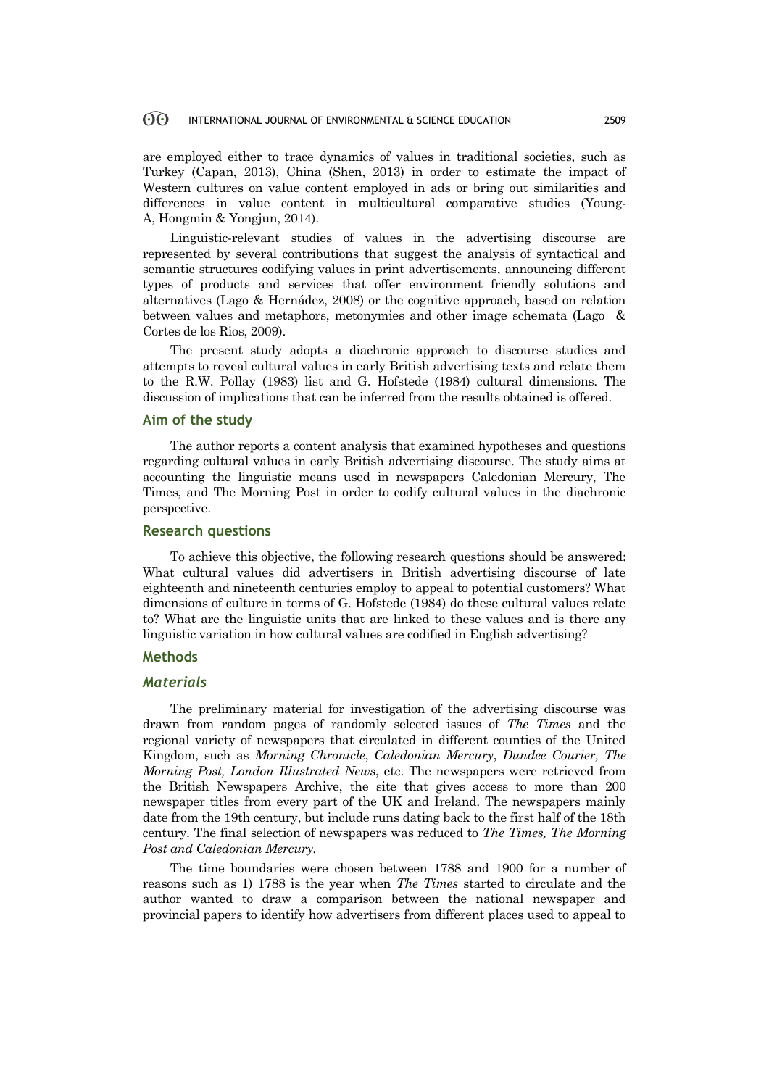are employed either to trace dynamics of values in traditional societies, such as Turkey (Capan, 2013), China (Shen, 2013) in order to estimate the impact of Western cultures on value content employed in ads or bring out similarities and differences in value content in multicultural comparative studies (Young-A, Hongmin & Yongjun, 2014).

Linguistic-relevant studies of values in the advertising discourse are represented by several contributions that suggest the analysis of syntactical and semantic structures codifying values in print advertisements, announcing different types of products and services that offer environment friendly solutions and alternatives (Lago & Hernádez, 2008) or the cognitive approach, based on relation between values and metaphors, metonymies and other image schemata (Lago & Cortes de los Rios, 2009).

The present study adopts a diachronic approach to discourse studies and attempts to reveal cultural values in early British advertising texts and relate them to the R.W. Pollay (1983) list and G. Hofstede (1984) cultural dimensions. The discussion of implications that can be inferred from the results obtained is offered.

# **Aim of the study**

The author reports a content analysis that examined hypotheses and questions regarding cultural values in early British advertising discourse. The study aims at accounting the linguistic means used in newspapers Caledonian Mercury, The Times, and The Morning Post in order to codify cultural values in the diachronic perspective.

## **Research questions**

To achieve this objective, the following research questions should be answered: What cultural values did advertisers in British advertising discourse of late eighteenth and nineteenth centuries employ to appeal to potential customers? What dimensions of culture in terms of G. Hofstede (1984) do these cultural values relate to? What are the linguistic units that are linked to these values and is there any linguistic variation in how cultural values are codified in English advertising?

### **Methods**

# *Materials*

The preliminary material for investigation of the advertising discourse was drawn from random pages of randomly selected issues of *The Times* and the regional variety of newspapers that circulated in different counties of the United Kingdom, such as *Morning Chronicle*, *Caledonian Mercury*, *Dundee Courier, The Morning Post, London Illustrated News*, etc. The newspapers were retrieved from the British Newspapers Archive, the site that gives access to more than 200 newspaper titles from every part of the UK and Ireland. The newspapers mainly date from the 19th century, but include runs dating back to the first half of the 18th century. The final selection of newspapers was reduced to *The Times, The Morning Post and Caledonian Mercury.*

The time boundaries were chosen between 1788 and 1900 for a number of reasons such as 1) 1788 is the year when *The Times* started to circulate and the author wanted to draw a comparison between the national newspaper and provincial papers to identify how advertisers from different places used to appeal to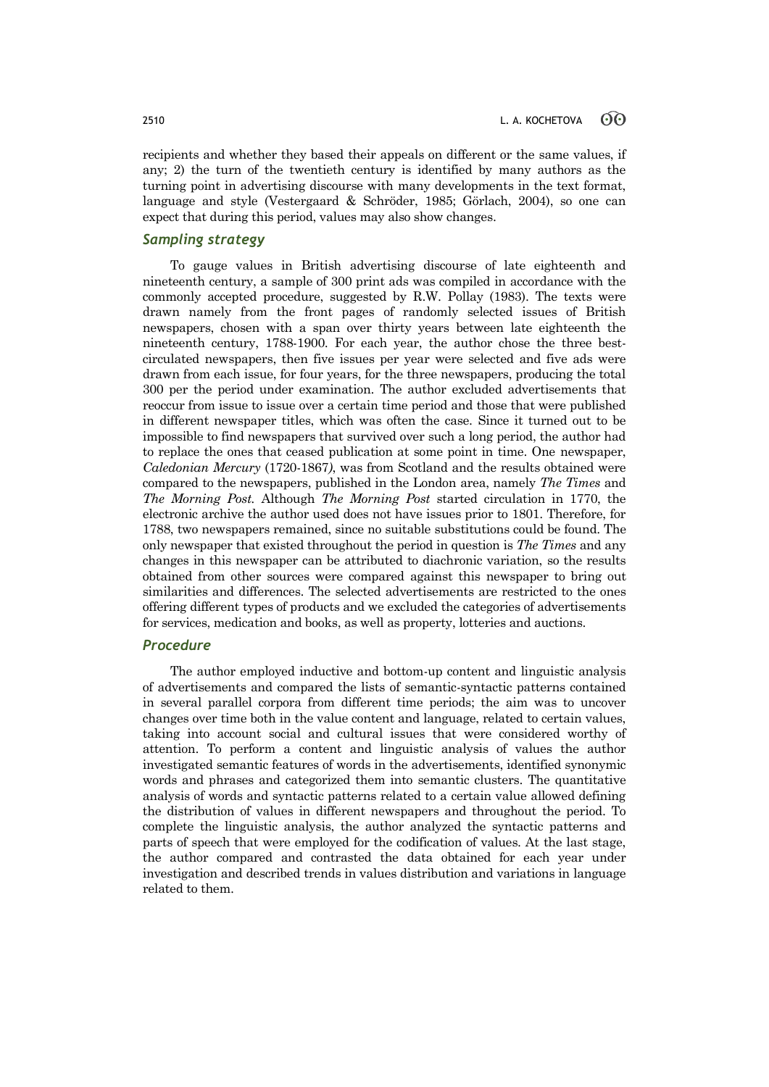recipients and whether they based their appeals on different or the same values, if any; 2) the turn of the twentieth century is identified by many authors as the turning point in advertising discourse with many developments in the text format, language and style (Vestergaard & Schröder, 1985; Görlach, 2004), so one can expect that during this period, values may also show changes.

# *Sampling strategy*

To gauge values in British advertising discourse of late eighteenth and nineteenth century, a sample of 300 print ads was compiled in accordance with the commonly accepted procedure, suggested by R.W. Pollay (1983). The texts were drawn namely from the front pages of randomly selected issues of British newspapers, chosen with a span over thirty years between late eighteenth the nineteenth century, 1788-1900. For each year, the author chose the three bestcirculated newspapers, then five issues per year were selected and five ads were drawn from each issue, for four years, for the three newspapers, producing the total 300 per the period under examination. The author excluded advertisements that reoccur from issue to issue over a certain time period and those that were published in different newspaper titles, which was often the case. Since it turned out to be impossible to find newspapers that survived over such a long period, the author had to replace the ones that ceased publication at some point in time. One newspaper, *Caledonian Mercury* (1720-1867*)*, was from Scotland and the results obtained were compared to the newspapers, published in the London area, namely *The Times* and *The Morning Post.* Although *The Morning Post* started circulation in 1770, the electronic archive the author used does not have issues prior to 1801. Therefore, for 1788, two newspapers remained, since no suitable substitutions could be found. The only newspaper that existed throughout the period in question is *The Times* and any changes in this newspaper can be attributed to diachronic variation, so the results obtained from other sources were compared against this newspaper to bring out similarities and differences. The selected advertisements are restricted to the ones offering different types of products and we excluded the categories of advertisements for services, medication and books, as well as property, lotteries and auctions.

# *Procedure*

The author employed inductive and bottom-up content and linguistic analysis of advertisements and compared the lists of semantic-syntactic patterns contained in several parallel corpora from different time periods; the aim was to uncover changes over time both in the value content and language, related to certain values, taking into account social and cultural issues that were considered worthy of attention. To perform a content and linguistic analysis of values the author investigated semantic features of words in the advertisements, identified synonymic words and phrases and categorized them into semantic clusters. The quantitative analysis of words and syntactic patterns related to a certain value allowed defining the distribution of values in different newspapers and throughout the period. To complete the linguistic analysis, the author analyzed the syntactic patterns and parts of speech that were employed for the codification of values. At the last stage, the author compared and contrasted the data obtained for each year under investigation and described trends in values distribution and variations in language related to them.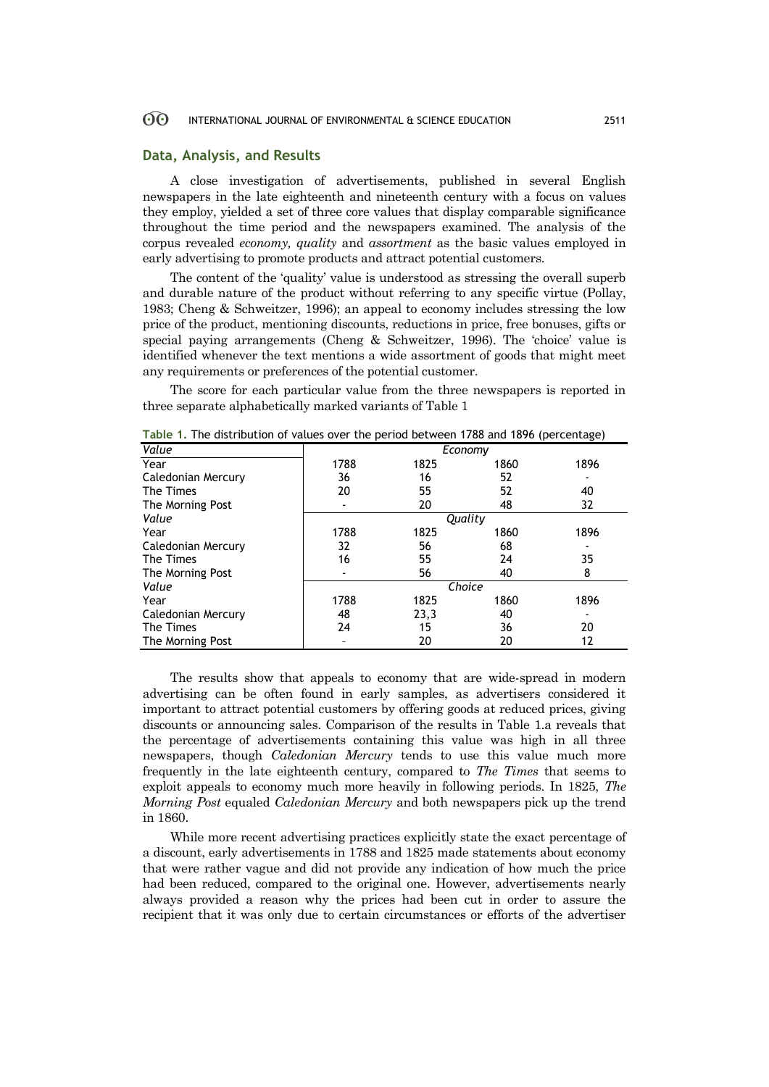# **Data, Analysis, and Results**

A close investigation of advertisements, published in several English newspapers in the late eighteenth and nineteenth century with a focus on values they employ, yielded a set of three core values that display comparable significance throughout the time period and the newspapers examined. The analysis of the corpus revealed *economy, quality* and *assortment* as the basic values employed in early advertising to promote products and attract potential customers.

The content of the 'quality' value is understood as stressing the overall superb and durable nature of the product without referring to any specific virtue (Pollay, 1983; Cheng & Schweitzer, 1996); an appeal to economy includes stressing the low price of the product, mentioning discounts, reductions in price, free bonuses, gifts or special paying arrangements (Cheng & Schweitzer, 1996). The 'choice' value is identified whenever the text mentions a wide assortment of goods that might meet any requirements or preferences of the potential customer.

The score for each particular value from the three newspapers is reported in three separate alphabetically marked variants of Table 1

| Value              | Economy |      |      |      |
|--------------------|---------|------|------|------|
| Year               | 1788    | 1825 | 1860 | 1896 |
| Caledonian Mercury | 36      | 16   | 52   |      |
| The Times          | 20      | 55   | 52   | 40   |
| The Morning Post   | ۰       | 20   | 48   | 32   |
| Value              | Quality |      |      |      |
| Year               | 1788    | 1825 | 1860 | 1896 |
| Caledonian Mercury | 32      | 56   | 68   |      |
| The Times          | 16      | 55   | 24   | 35   |
| The Morning Post   |         | 56   | 40   | 8    |
| Value              | Choice  |      |      |      |
| Year               | 1788    | 1825 | 1860 | 1896 |
| Caledonian Mercury | 48      | 23,3 | 40   |      |
| The Times          | 24      | 15   | 36   | 20   |
| The Morning Post   |         | 20   | 20   | 12   |

**Table 1.** The distribution of values over the period between 1788 and 1896 (percentage)

The results show that appeals to economy that are wide-spread in modern advertising can be often found in early samples, as advertisers considered it important to attract potential customers by offering goods at reduced prices, giving discounts or announcing sales. Comparison of the results in Table 1.a reveals that the percentage of advertisements containing this value was high in all three newspapers, though *Caledonian Mercury* tends to use this value much more frequently in the late eighteenth century, compared to *The Times* that seems to exploit appeals to economy much more heavily in following periods. In 1825, *The Morning Post* equaled *Caledonian Mercury* and both newspapers pick up the trend in 1860.

While more recent advertising practices explicitly state the exact percentage of a discount, early advertisements in 1788 and 1825 made statements about economy that were rather vague and did not provide any indication of how much the price had been reduced, compared to the original one. However, advertisements nearly always provided a reason why the prices had been cut in order to assure the recipient that it was only due to certain circumstances or efforts of the advertiser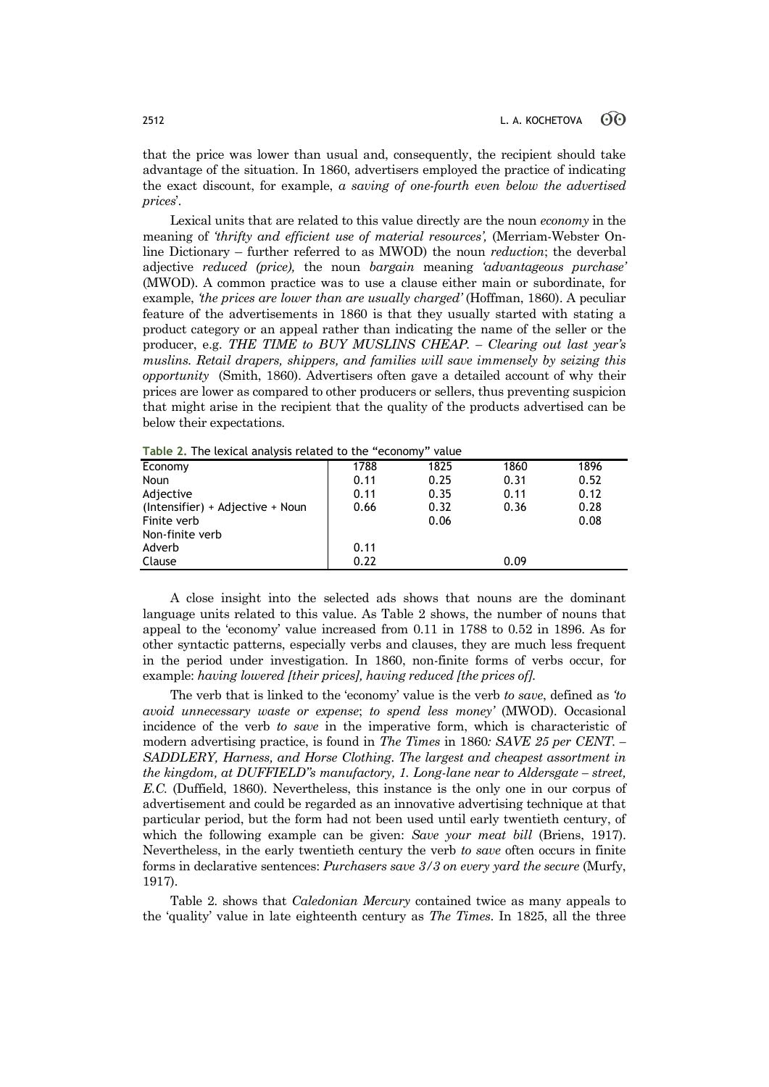that the price was lower than usual and, consequently, the recipient should take advantage of the situation. In 1860, advertisers employed the practice of indicating the exact discount, for example, *a saving of one-fourth even below the advertised prices*'.

Lexical units that are related to this value directly are the noun *economy* in the meaning of *'thrifty and efficient use of material resources',* (Merriam-Webster Online Dictionary – further referred to as MWOD) the noun *reduction*; the deverbal adjective *reduced (price),* the noun *bargain* meaning *'advantageous purchase'*  (MWOD). A common practice was to use a clause either main or subordinate, for example, *'the prices are lower than are usually charged'* (Hoffman, 1860). A peculiar feature of the advertisements in 1860 is that they usually started with stating a product category or an appeal rather than indicating the name of the seller or the producer, e.g. *THE TIME to BUY MUSLINS CHEAP. – Clearing out last year's muslins. Retail drapers, shippers, and families will save immensely by seizing this opportunity* (Smith, 1860). Advertisers often gave a detailed account of why their prices are lower as compared to other producers or sellers, thus preventing suspicion that might arise in the recipient that the quality of the products advertised can be below their expectations.

| Economy                          | 1788 | 1825 | 1860 | 1896 |
|----------------------------------|------|------|------|------|
| Noun                             | 0.11 | 0.25 | 0.31 | 0.52 |
| Adjective                        | 0.11 | 0.35 | 0.11 | 0.12 |
| (Intensifier) + Adjective + Noun | 0.66 | 0.32 | 0.36 | 0.28 |
| Finite verb                      |      | 0.06 |      | 0.08 |
| Non-finite verb                  |      |      |      |      |
| Adverb                           | 0.11 |      |      |      |
| Clause                           | 0.22 |      | 0.09 |      |
|                                  |      |      |      |      |

**Table 2.** The lexical analysis related to the "economy" value

A close insight into the selected ads shows that nouns are the dominant language units related to this value. As Table 2 shows, the number of nouns that appeal to the 'economy' value increased from 0.11 in 1788 to 0.52 in 1896. As for other syntactic patterns, especially verbs and clauses, they are much less frequent in the period under investigation. In 1860, non-finite forms of verbs occur, for example: *having lowered [their prices], having reduced [the prices of].* 

The verb that is linked to the 'economy' value is the verb *to save*, defined as *'to avoid unnecessary waste or expense*; *to spend less money'* (MWOD). Occasional incidence of the verb *to save* in the imperative form, which is characteristic of modern advertising practice, is found in *The Times* in 1860*: SAVE 25 per CENT. – SADDLERY, Harness, and Horse Clothing. The largest and cheapest assortment in the kingdom, at DUFFIELD"s manufactory, 1. Long-lane near to Aldersgate – street, E.C.* (Duffield, 1860). Nevertheless, this instance is the only one in our corpus of advertisement and could be regarded as an innovative advertising technique at that particular period, but the form had not been used until early twentieth century, of which the following example can be given: *Save your meat bill* (Briens, 1917). Nevertheless, in the early twentieth century the verb *to save* often occurs in finite forms in declarative sentences: *Purchasers save 3/3 on every yard the secure* (Murfy, 1917).

Table 2. shows that *Caledonian Mercury* contained twice as many appeals to the 'quality' value in late eighteenth century as *The Times*. In 1825, all the three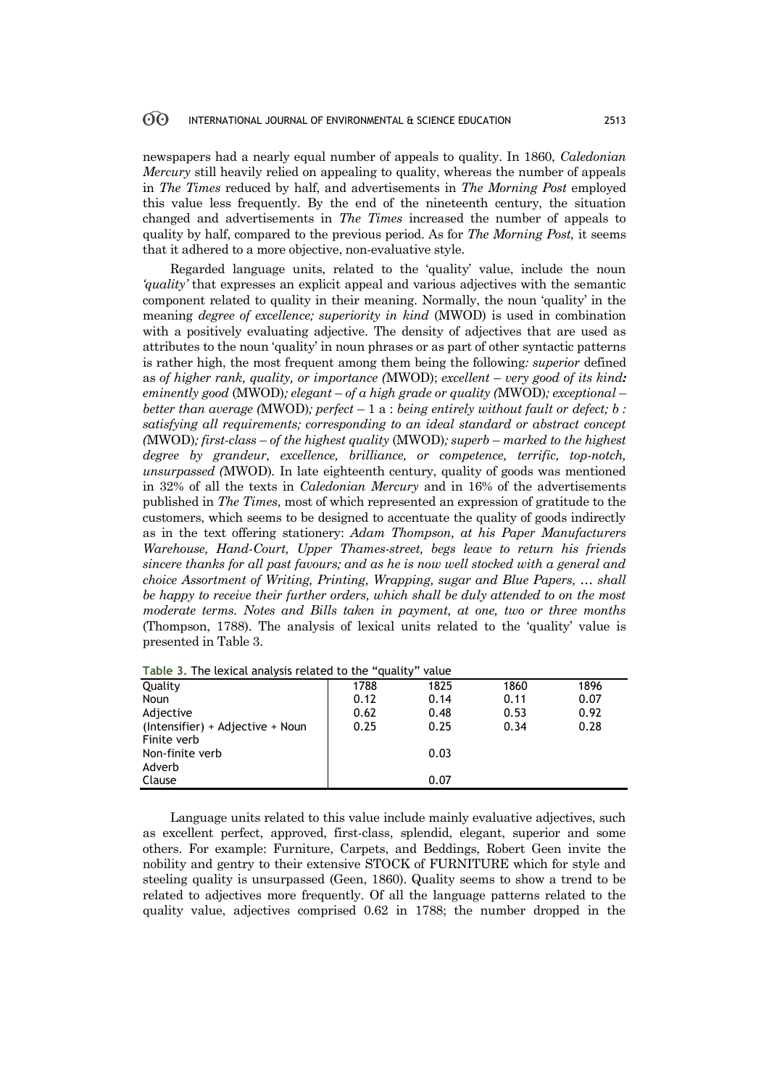newspapers had a nearly equal number of appeals to quality. In 1860, *Caledonian Mercury* still heavily relied on appealing to quality, whereas the number of appeals in *The Times* reduced by half, and advertisements in *The Morning Post* employed this value less frequently. By the end of the nineteenth century, the situation changed and advertisements in *The Times* increased the number of appeals to quality by half, compared to the previous period. As for *The Morning Post,* it seems that it adhered to a more objective, non-evaluative style.

Regarded language units, related to the 'quality' value, include the noun *'quality'* that expresses an explicit appeal and various adjectives with the semantic component related to quality in their meaning. Normally, the noun 'quality' in the meaning *degree of excellence; superiority in kind* (MWOD) is used in combination with a positively evaluating adjective. The density of adjectives that are used as attributes to the noun 'quality' in noun phrases or as part of other syntactic patterns is rather high, the most frequent among them being the following*: superior* defined as *of higher rank, quality, or importance* (MWOD); *excellent – very good of its kind: eminently good* (MWOD)*; elegant* – *of a high grade or quality (*MWOD)*; exceptional* – *better than average (*MWOD)*; perfect* – 1 a : *being entirely without fault or defect; b : satisfying all requirements; corresponding to an ideal standard or abstract concept (*MWOD)*; first-class* – *of the highest quality* (MWOD)*; superb* – *marked to the highest degree by grandeur, excellence, brilliance, or competence, terrific, top-notch, unsurpassed (*MWOD)*.* In late eighteenth century, quality of goods was mentioned in 32% of all the texts in *Caledonian Mercury* and in 16% of the advertisements published in *The Times*, most of which represented an expression of gratitude to the customers, which seems to be designed to accentuate the quality of goods indirectly as in the text offering stationery: *Adam Thompson, at his Paper Manufacturers Warehouse, Hand-Court, Upper Thames-street, begs leave to return his friends sincere thanks for all past favours; and as he is now well stocked with a general and choice Assortment of Writing, Printing, Wrapping, sugar and Blue Papers, … shall be happy to receive their further orders, which shall be duly attended to on the most moderate terms. Notes and Bills taken in payment, at one, two or three months* (Thompson, 1788). The analysis of lexical units related to the 'quality' value is presented in Table 3.

| <b>Table 5. The texteal analysis related to the Guality</b><br>vuluc |      |      |      |      |
|----------------------------------------------------------------------|------|------|------|------|
| Quality                                                              | 1788 | 1825 | 1860 | 1896 |
| Noun                                                                 | 0.12 | 0.14 | 0.11 | 0.07 |
| Adjective                                                            | 0.62 | 0.48 | 0.53 | 0.92 |
| (Intensifier) + Adjective + Noun                                     | 0.25 | 0.25 | 0.34 | 0.28 |
| Finite verb                                                          |      |      |      |      |
| Non-finite verb                                                      |      | 0.03 |      |      |
| Adverb                                                               |      |      |      |      |
| Clause                                                               |      | 0.07 |      |      |
|                                                                      |      |      |      |      |

**Table 3.** The lexical analysis related to the "quality" value

Language units related to this value include mainly evaluative adjectives, such as excellent perfect, approved, first-class, splendid, elegant, superior and some others. For example: Furniture, Carpets, and Beddings, Robert Geen invite the nobility and gentry to their extensive STOCK of FURNITURE which for style and steeling quality is unsurpassed (Geen, 1860). Quality seems to show a trend to be related to adjectives more frequently. Of all the language patterns related to the quality value, adjectives comprised 0.62 in 1788; the number dropped in the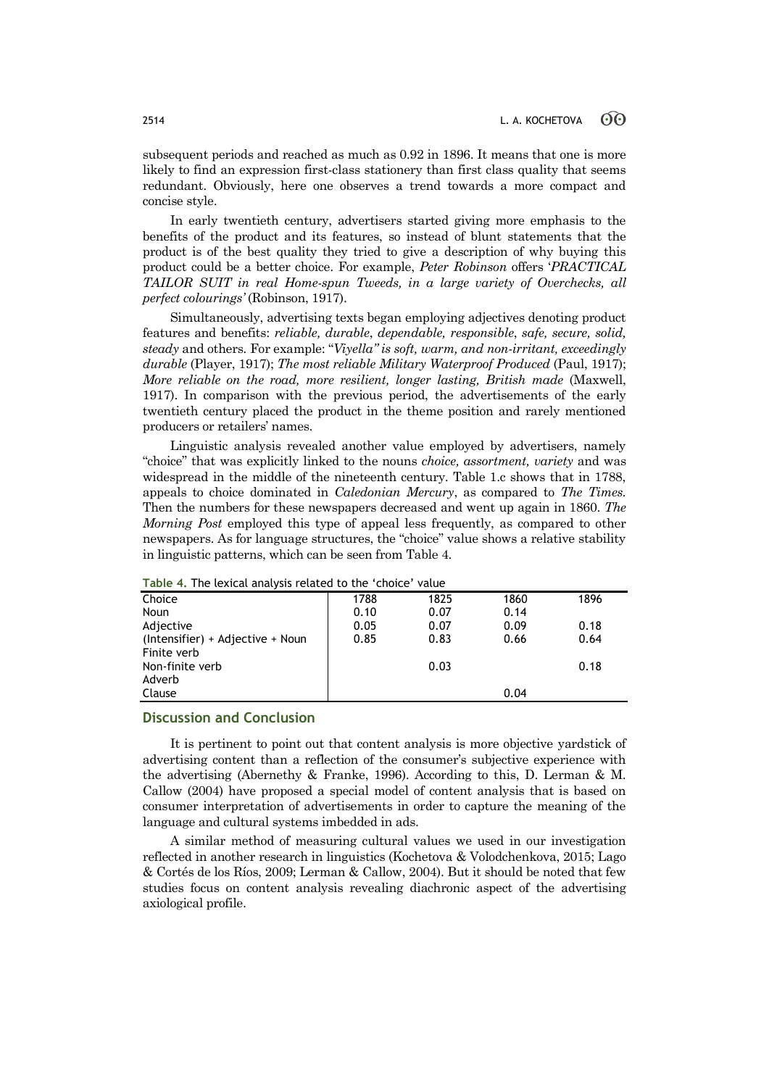subsequent periods and reached as much as 0.92 in 1896. It means that one is more likely to find an expression first-class stationery than first class quality that seems redundant. Obviously, here one observes a trend towards a more compact and concise style.

In early twentieth century, advertisers started giving more emphasis to the benefits of the product and its features, so instead of blunt statements that the product is of the best quality they tried to give a description of why buying this product could be a better choice. For example, *Peter Robinson* offers '*PRACTICAL TAILOR SUIT in real Home-spun Tweeds, in a large variety of Overchecks, all perfect colourings'* (Robinson, 1917).

Simultaneously, advertising texts began employing adjectives denoting product features and benefits: *reliable, durable*, *dependable, responsible*, *safe, secure, solid, steady* and others*.* For example: "*Viyella" is soft, warm, and non-irritant, exceedingly durable* (Player, 1917); *The most reliable Military Waterproof Produced* (Paul, 1917); *More reliable on the road, more resilient, longer lasting, British made* (Maxwell, 1917). In comparison with the previous period, the advertisements of the early twentieth century placed the product in the theme position and rarely mentioned producers or retailers' names.

Linguistic analysis revealed another value employed by advertisers, namely "choice" that was explicitly linked to the nouns *choice, assortment, variety* and was widespread in the middle of the nineteenth century. Table 1.c shows that in 1788, appeals to choice dominated in *Caledonian Mercury*, as compared to *The Times.*  Then the numbers for these newspapers decreased and went up again in 1860. *The Morning Post* employed this type of appeal less frequently, as compared to other newspapers. As for language structures, the "choice" value shows a relative stability in linguistic patterns, which can be seen from Table 4.

| Table 4. The texted analysis retaced to the choice value |      |      |      |      |
|----------------------------------------------------------|------|------|------|------|
| Choice                                                   | 1788 | 1825 | 1860 | 1896 |
| Noun                                                     | 0.10 | 0.07 | 0.14 |      |
| Adjective                                                | 0.05 | 0.07 | 0.09 | 0.18 |
| (Intensifier) + Adjective + Noun                         | 0.85 | 0.83 | 0.66 | 0.64 |
| Finite verb                                              |      |      |      |      |
| Non-finite verb                                          |      | 0.03 |      | 0.18 |
| Adverb                                                   |      |      |      |      |
| Clause                                                   |      |      | 0.04 |      |
|                                                          |      |      |      |      |

**Table 4.** The lexical analysis related to the 'choice' value

# **Discussion and Conclusion**

It is pertinent to point out that content analysis is more objective yardstick of advertising content than a reflection of the consumer's subjective experience with the advertising (Abernethy & Franke, 1996). According to this, D. Lerman & M. Callow (2004) have proposed a special model of content analysis that is based on consumer interpretation of advertisements in order to capture the meaning of the language and cultural systems imbedded in ads.

A similar method of measuring cultural values we used in our investigation reflected in another research in linguistics (Kochetova & Volodchenkova, 2015; Lago & Cortés de los Ríos, 2009; Lerman & Callow, 2004). But it should be noted that few studies focus on content analysis revealing diachronic aspect of the advertising axiological profile.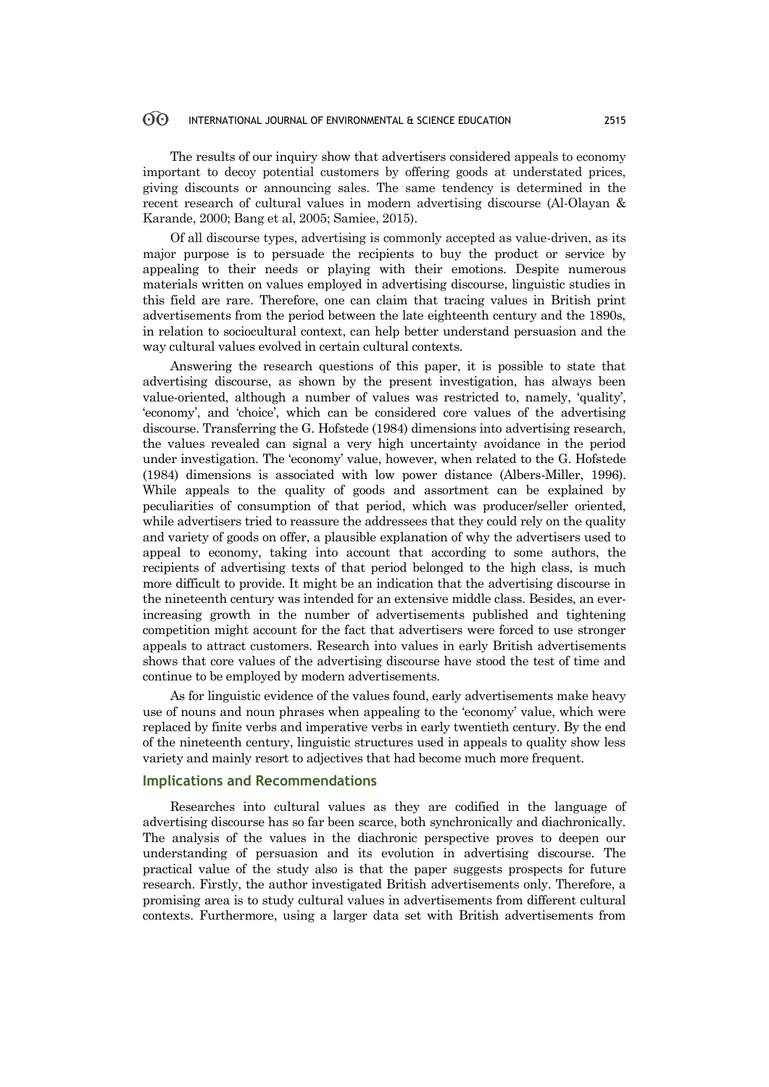The results of our inquiry show that advertisers considered appeals to economy important to decoy potential customers by offering goods at understated prices, giving discounts or announcing sales. The same tendency is determined in the recent research of cultural values in modern advertising discourse (Al-Olayan & Karande, 2000; Bang et al, 2005; Samiee, 2015).

Of all discourse types, advertising is commonly accepted as value-driven, as its major purpose is to persuade the recipients to buy the product or service by appealing to their needs or playing with their emotions. Despite numerous materials written on values employed in advertising discourse, linguistic studies in this field are rare. Therefore, one can claim that tracing values in British print advertisements from the period between the late eighteenth century and the 1890s, in relation to sociocultural context, can help better understand persuasion and the way cultural values evolved in certain cultural contexts.

Answering the research questions of this paper, it is possible to state that advertising discourse, as shown by the present investigation, has always been value-oriented, although a number of values was restricted to, namely, 'quality', 'economy', and 'choice', which can be considered core values of the advertising discourse. Transferring the G. Hofstede (1984) dimensions into advertising research, the values revealed can signal a very high uncertainty avoidance in the period under investigation. The 'economy' value, however, when related to the G. Hofstede (1984) dimensions is associated with low power distance (Albers-Miller, 1996). While appeals to the quality of goods and assortment can be explained by peculiarities of consumption of that period, which was producer/seller oriented, while advertisers tried to reassure the addressees that they could rely on the quality and variety of goods on offer, a plausible explanation of why the advertisers used to appeal to economy, taking into account that according to some authors, the recipients of advertising texts of that period belonged to the high class, is much more difficult to provide. It might be an indication that the advertising discourse in the nineteenth century was intended for an extensive middle class. Besides, an everincreasing growth in the number of advertisements published and tightening competition might account for the fact that advertisers were forced to use stronger appeals to attract customers. Research into values in early British advertisements shows that core values of the advertising discourse have stood the test of time and continue to be employed by modern advertisements.

As for linguistic evidence of the values found, early advertisements make heavy use of nouns and noun phrases when appealing to the 'economy' value, which were replaced by finite verbs and imperative verbs in early twentieth century. By the end of the nineteenth century, linguistic structures used in appeals to quality show less variety and mainly resort to adjectives that had become much more frequent.

### **Implications and Recommendations**

Researches into cultural values as they are codified in the language of advertising discourse has so far been scarce, both synchronically and diachronically. The analysis of the values in the diachronic perspective proves to deepen our understanding of persuasion and its evolution in advertising discourse. The practical value of the study also is that the paper suggests prospects for future research. Firstly, the author investigated British advertisements only. Therefore, a promising area is to study cultural values in advertisements from different cultural contexts. Furthermore, using a larger data set with British advertisements from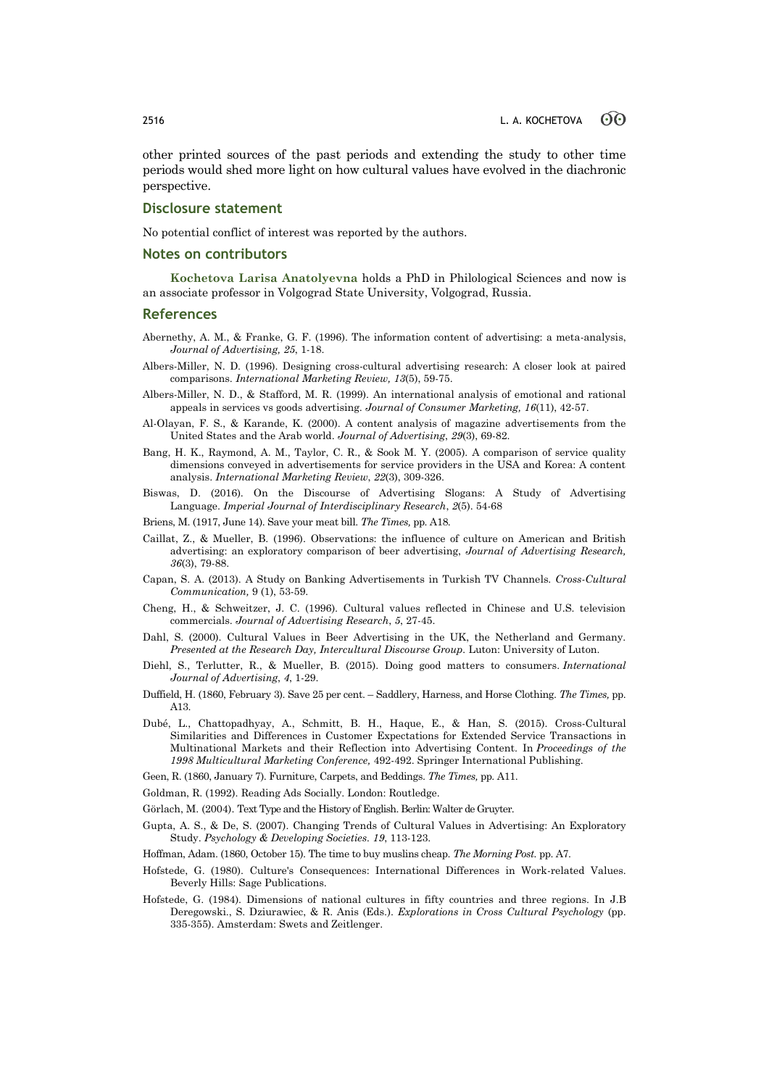other printed sources of the past periods and extending the study to other time periods would shed more light on how cultural values have evolved in the diachronic perspective.

# **Disclosure statement**

No potential conflict of interest was reported by the authors.

### **Notes on contributors**

**Kochetova Larisa Anatolyevna** holds a PhD in Philological Sciences and now is an associate professor in Volgograd State University, Volgograd, Russia.

### **References**

- Abernethy, A. M., & Franke, G. F. (1996). The information content of advertising: a meta-analysis, *Journal of Advertising, 25*, 1-18.
- Albers-Miller, N. D. (1996). Designing cross-cultural advertising research: A closer look at paired comparisons. *International Marketing Review, 13*(5), 59-75.
- Albers-Miller, N. D., & Stafford, M. R. (1999). An international analysis of emotional and rational appeals in services vs goods advertising. *Journal of Consumer Marketing, 16*(11), 42-57.
- Al-Olayan, F. S., & Karande, K. (2000). A content analysis of magazine advertisements from the United States and the Arab world. *Journal of Advertising*, *29*(3), 69-82.
- Bang, H. K., Raymond, A. M., Taylor, C. R., & Sook M. Y. (2005). A comparison of service quality dimensions conveyed in advertisements for service providers in the USA and Korea: A content analysis. *International Marketing Review*, *22*(3), 309-326.
- Biswas, D. (2016). On the Discourse of Advertising Slogans: A Study of Advertising Language. *Imperial Journal of Interdisciplinary Research*, *2*(5). 54-68
- Briens, M. (1917, June 14). Save your meat bill. *The Times,* pp. A18.
- Caillat, Z., & Mueller, B. (1996). Observations: the influence of culture on American and British advertising: an exploratory comparison of beer advertising, *Journal of Advertising Research, 36*(3), 79-88.
- Capan, S. A. (2013). A Study on Banking Advertisements in Turkish TV Channels. *Cross-Cultural Communication,* 9 (1), 53-59.
- Cheng, H., & Schweitzer, J. C. (1996). Cultural values reflected in Chinese and U.S. television commercials. *Journal of Advertising Research*, *5*, 27-45.
- Dahl, S. (2000). Cultural Values in Beer Advertising in the UK, the Netherland and Germany. *Presented at the Research Day, Intercultural Discourse Group.* Luton: University of Luton.
- Diehl, S., Terlutter, R., & Mueller, B. (2015). Doing good matters to consumers. *International Journal of Advertising*, *4*, 1-29.
- Duffield, H. (1860, February 3). Save 25 per cent. Saddlery, Harness, and Horse Clothing. *The Times,* pp. A13.
- Dubé, L., Chattopadhyay, A., Schmitt, B. H., Haque, E., & Han, S. (2015). Cross-Cultural Similarities and Differences in Customer Expectations for Extended Service Transactions in Multinational Markets and their Reflection into Advertising Content. In *Proceedings of the 1998 Multicultural Marketing Conference,* 492-492. Springer International Publishing.
- Geen, R. (1860, January 7). Furniture, Carpets, and Beddings. *The Times,* pp. A11.
- Goldman, R. (1992). Reading Ads Socially. London: Routledge.
- Görlach, M. (2004). Text Type and the History of English. Berlin: Walter de Gruyter.
- Gupta, A. S., & De, S. (2007). Changing Trends of Cultural Values in Advertising: An Exploratory Study. *Psychology & Developing Societies. 19*, 113-123.
- Hoffman, Adam. (1860, October 15). The time to buy muslins cheap. *The Morning Post.* pp. A7.
- Hofstede, G. (1980). Culture's Consequences: International Differences in Work-related Values. Beverly Hills: Sage Publications.
- Hofstede, G. (1984). Dimensions of national cultures in fifty countries and three regions. In J.B Deregowski., S. Dziurawiec, & R. Anis (Eds.). *Explorations in Cross Cultural Psychology* (pp. 335-355). Amsterdam: Swets and Zeitlenger.